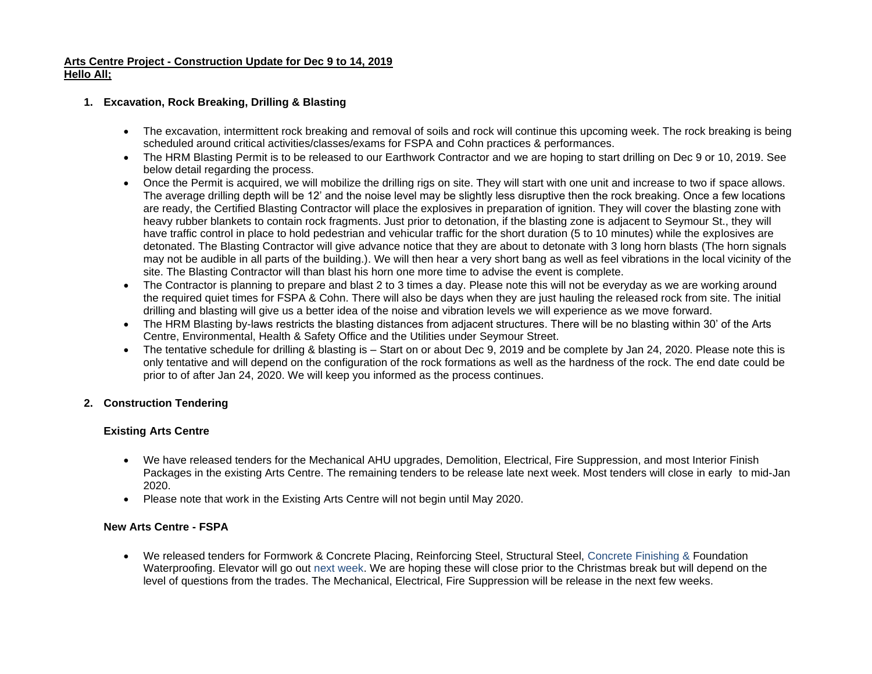## **Arts Centre Project - Construction Update for Dec 9 to 14, 2019 Hello All;**

## **1. Excavation, Rock Breaking, Drilling & Blasting**

- The excavation, intermittent rock breaking and removal of soils and rock will continue this upcoming week. The rock breaking is being scheduled around critical activities/classes/exams for FSPA and Cohn practices & performances.
- The HRM Blasting Permit is to be released to our Earthwork Contractor and we are hoping to start drilling on Dec 9 or 10, 2019. See below detail regarding the process.
- Once the Permit is acquired, we will mobilize the drilling rigs on site. They will start with one unit and increase to two if space allows. The average drilling depth will be 12' and the noise level may be slightly less disruptive then the rock breaking. Once a few locations are ready, the Certified Blasting Contractor will place the explosives in preparation of ignition. They will cover the blasting zone with heavy rubber blankets to contain rock fragments. Just prior to detonation, if the blasting zone is adjacent to Seymour St., they will have traffic control in place to hold pedestrian and vehicular traffic for the short duration (5 to 10 minutes) while the explosives are detonated. The Blasting Contractor will give advance notice that they are about to detonate with 3 long horn blasts (The horn signals may not be audible in all parts of the building.). We will then hear a very short bang as well as feel vibrations in the local vicinity of the site. The Blasting Contractor will than blast his horn one more time to advise the event is complete.
- The Contractor is planning to prepare and blast 2 to 3 times a day. Please note this will not be everyday as we are working around the required quiet times for FSPA & Cohn. There will also be days when they are just hauling the released rock from site. The initial drilling and blasting will give us a better idea of the noise and vibration levels we will experience as we move forward.
- The HRM Blasting by-laws restricts the blasting distances from adjacent structures. There will be no blasting within 30' of the Arts Centre, Environmental, Health & Safety Office and the Utilities under Seymour Street.
- The tentative schedule for drilling & blasting is Start on or about Dec 9, 2019 and be complete by Jan 24, 2020. Please note this is only tentative and will depend on the configuration of the rock formations as well as the hardness of the rock. The end date could be prior to of after Jan 24, 2020. We will keep you informed as the process continues.

## **2. Construction Tendering**

## **Existing Arts Centre**

- We have released tenders for the Mechanical AHU upgrades, Demolition, Electrical, Fire Suppression, and most Interior Finish Packages in the existing Arts Centre. The remaining tenders to be release late next week. Most tenders will close in early to mid-Jan 2020.
- Please note that work in the Existing Arts Centre will not begin until May 2020.

## **New Arts Centre - FSPA**

• We released tenders for Formwork & Concrete Placing, Reinforcing Steel, Structural Steel, Concrete Finishing & Foundation Waterproofing. Elevator will go out next week. We are hoping these will close prior to the Christmas break but will depend on the level of questions from the trades. The Mechanical, Electrical, Fire Suppression will be release in the next few weeks.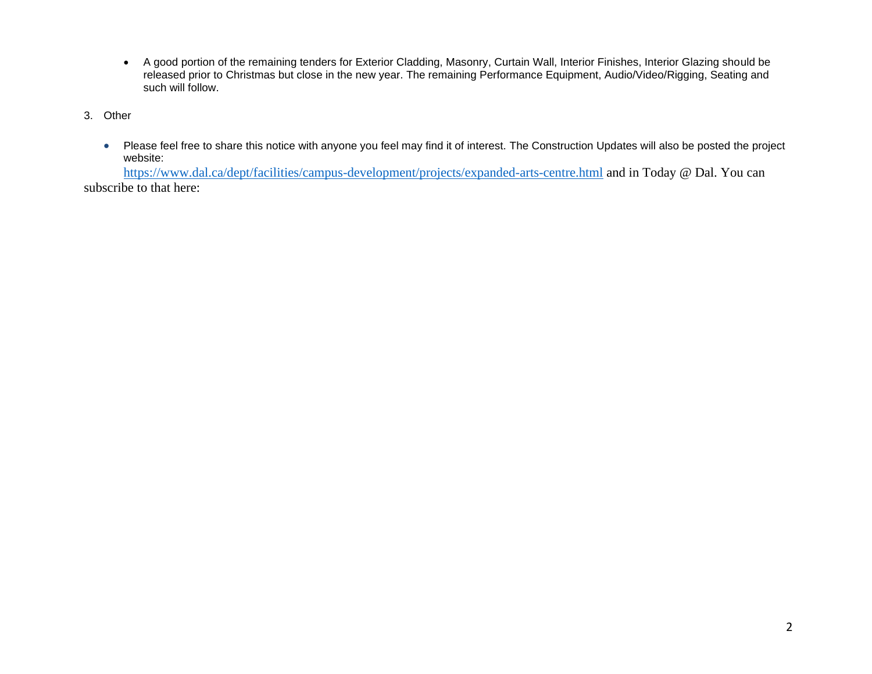- A good portion of the remaining tenders for Exterior Cladding, Masonry, Curtain Wall, Interior Finishes, Interior Glazing should be released prior to Christmas but close in the new year. The remaining Performance Equipment, Audio/Video/Rigging, Seating and such will follow.
- 3. Other
	- Please feel free to share this notice with anyone you feel may find it of interest. The Construction Updates will also be posted the project website:

<https://www.dal.ca/dept/facilities/campus-development/projects/expanded-arts-centre.html> and in Today @ Dal. You can subscribe to that here: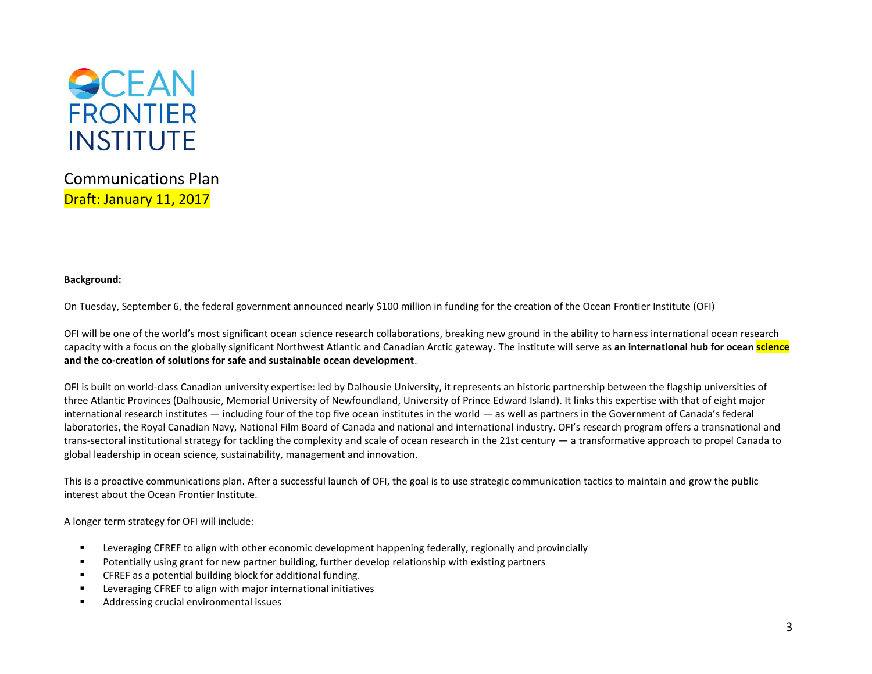

Communications Plan Draft: January 11, 2017

## **Background:**

On Tuesday, September 6, the federal government announced nearly \$100 million in funding for the creation of the Ocean Frontier Institute (OFI)

OFI will be one of the world's most significant ocean science research collaborations, breaking new ground in the ability to harness international ocean research capacity with a focus on the globally significant Northwest Atlantic and Canadian Arctic gateway. The institute will serve as **an international hub for ocean science and the co-creation of solutions for safe and sustainable ocean development**.

OFI is built on world-class Canadian university expertise: led by Dalhousie University, it represents an historic partnership between the flagship universities of three Atlantic Provinces (Dalhousie, Memorial University of Newfoundland, University of Prince Edward Island). It links this expertise with that of eight major international research institutes — including four of the top five ocean institutes in the world — as well as partners in the Government of Canada's federal laboratories, the Royal Canadian Navy, National Film Board of Canada and national and international industry. OFI's research program offers a transnational and trans-sectoral institutional strategy for tackling the complexity and scale of ocean research in the 21st century — a transformative approach to propel Canada to global leadership in ocean science, sustainability, management and innovation.

This is a proactive communications plan. After a successful launch of OFI, the goal is to use strategic communication tactics to maintain and grow the public interest about the Ocean Frontier Institute.

A longer term strategy for OFI will include:

- Leveraging CFREF to align with other economic development happening federally, regionally and provincially
- Potentially using grant for new partner building, further develop relationship with existing partners
- CFREF as a potential building block for additional funding.
- Leveraging CFREF to align with major international initiatives
- Addressing crucial environmental issues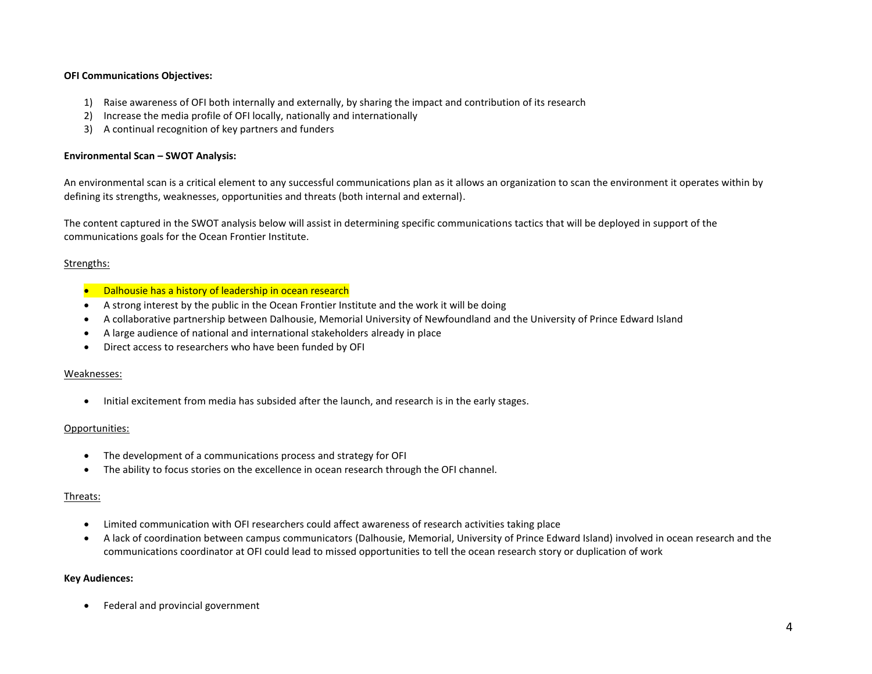## **OFI Communications Objectives:**

- 1) Raise awareness of OFI both internally and externally, by sharing the impact and contribution of its research
- 2) Increase the media profile of OFI locally, nationally and internationally
- 3) A continual recognition of key partners and funders

#### **Environmental Scan – SWOT Analysis:**

An environmental scan is a critical element to any successful communications plan as it allows an organization to scan the environment it operates within by defining its strengths, weaknesses, opportunities and threats (both internal and external).

The content captured in the SWOT analysis below will assist in determining specific communications tactics that will be deployed in support of the communications goals for the Ocean Frontier Institute.

#### Strengths:

- Dalhousie has a history of leadership in ocean research
- A strong interest by the public in the Ocean Frontier Institute and the work it will be doing
- A collaborative partnership between Dalhousie, Memorial University of Newfoundland and the University of Prince Edward Island
- A large audience of national and international stakeholders already in place
- Direct access to researchers who have been funded by OFI

#### Weaknesses:

• Initial excitement from media has subsided after the launch, and research is in the early stages.

#### Opportunities:

- The development of a communications process and strategy for OFI
- The ability to focus stories on the excellence in ocean research through the OFI channel.

#### Threats:

- Limited communication with OFI researchers could affect awareness of research activities taking place
- A lack of coordination between campus communicators (Dalhousie, Memorial, University of Prince Edward Island) involved in ocean research and the communications coordinator at OFI could lead to missed opportunities to tell the ocean research story or duplication of work

#### **Key Audiences:**

• Federal and provincial government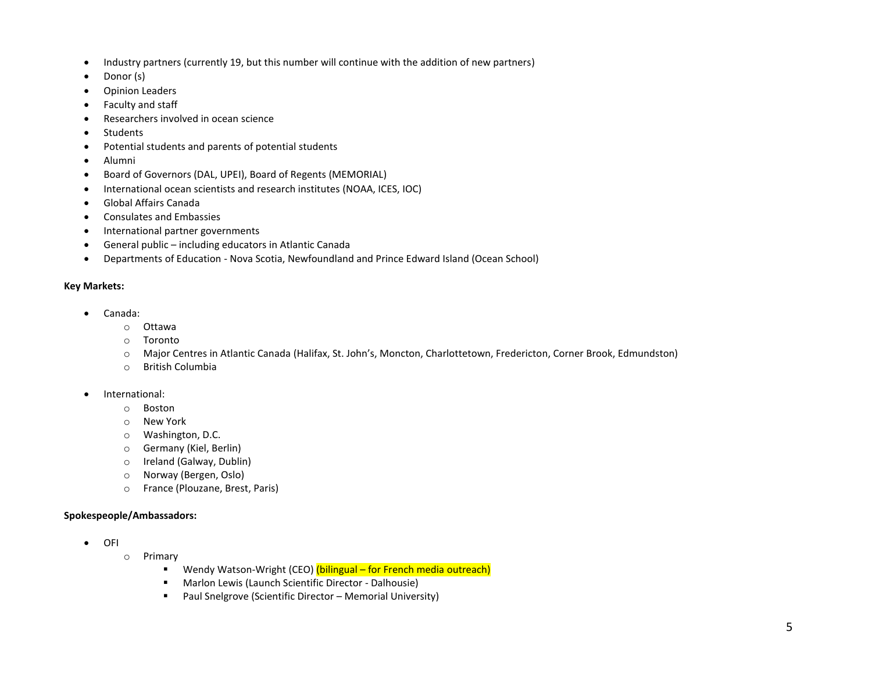- Industry partners (currently 19, but this number will continue with the addition of new partners)
- Donor (s)
- Opinion Leaders
- Faculty and staff
- Researchers involved in ocean science
- Students
- Potential students and parents of potential students
- Alumni
- Board of Governors (DAL, UPEI), Board of Regents (MEMORIAL)
- International ocean scientists and research institutes (NOAA, ICES, IOC)
- Global Affairs Canada
- Consulates and Embassies
- International partner governments
- General public including educators in Atlantic Canada
- Departments of Education Nova Scotia, Newfoundland and Prince Edward Island (Ocean School)

## **Key Markets:**

- Canada:
	- o Ottawa
	- o Toronto
	- o Major Centres in Atlantic Canada (Halifax, St. John's, Moncton, Charlottetown, Fredericton, Corner Brook, Edmundston)
	- o British Columbia
- International:
	- o Boston
	- o New York
	- o Washington, D.C.
	- o Germany (Kiel, Berlin)
	- o Ireland (Galway, Dublin)
	- o Norway (Bergen, Oslo)
	- o France (Plouzane, Brest, Paris)

## **Spokespeople/Ambassadors:**

- OFI
	- o Primary
		- Wendy Watson-Wright (CEO) (bilingual for French media outreach)
		- Marlon Lewis (Launch Scientific Director Dalhousie)
		- Paul Snelgrove (Scientific Director Memorial University)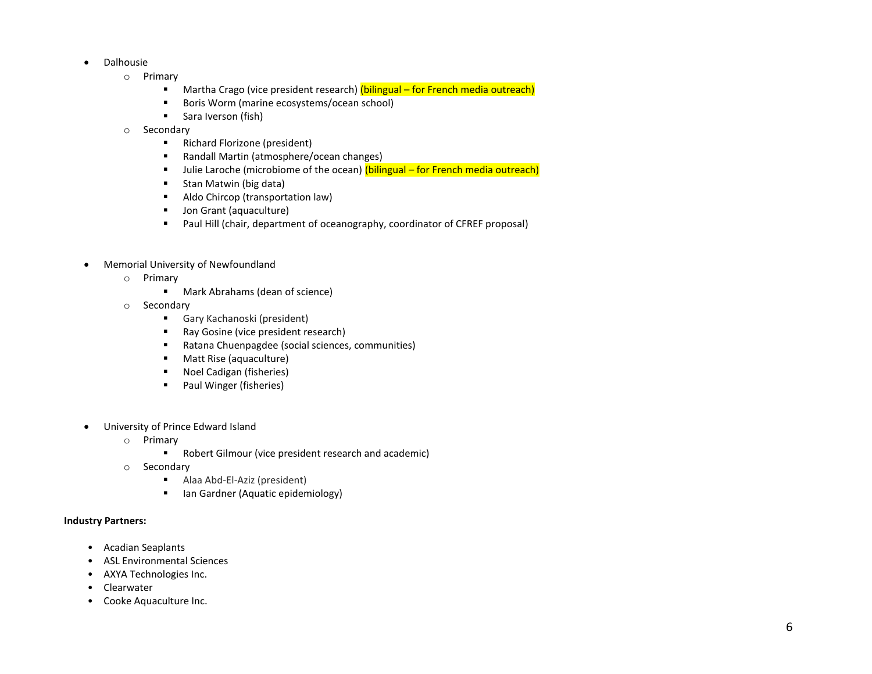- Dalhousie
	- o Primary
		- Martha Crago (vice president research) (bilingual for French media outreach)
		- Boris Worm (marine ecosystems/ocean school)
		- Sara Iverson (fish)
	- o Secondary
		- Richard Florizone (president)
		- Randall Martin (atmosphere/ocean changes)
		- **■** Julie Laroche (microbiome of the ocean) (bilingual for French media outreach)
		- Stan Matwin (big data)
		- Aldo Chircop (transportation law)
		- Jon Grant (aquaculture)
		- Paul Hill (chair, department of oceanography, coordinator of CFREF proposal)
- Memorial University of Newfoundland
	- o Primary
		- Mark Abrahams (dean of science)
	- o Secondary
		- Gary Kachanoski (president)
		- Ray Gosine (vice president research)
		- Ratana Chuenpagdee (social sciences, communities)
		- Matt Rise (aquaculture)
		- Noel Cadigan (fisheries)
		- Paul Winger (fisheries)
- University of Prince Edward Island
	- o Primary
		- Robert Gilmour (vice president research and academic)
	- o Secondary
		- Alaa Abd-El-Aziz (president)
		- Ian Gardner (Aquatic epidemiology)

## **Industry Partners:**

- Acadian Seaplants
- ASL Environmental Sciences
- AXYA Technologies Inc.
- Clearwater
- Cooke Aquaculture Inc.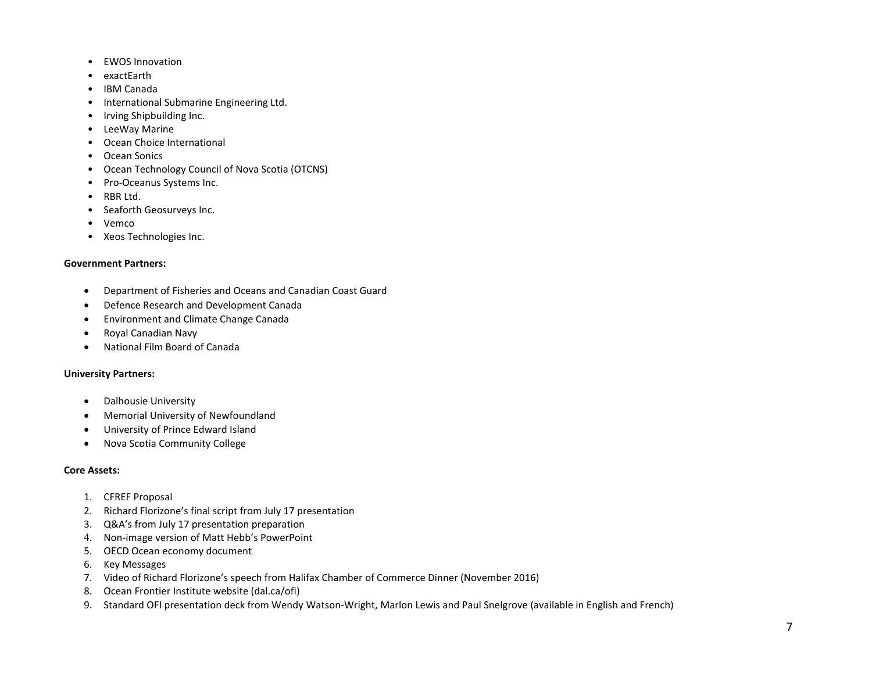- EWOS Innovation
- exactEarth
- IBM Canada
- International Submarine Engineering Ltd.
- Irving Shipbuilding Inc.
- LeeWay Marine
- Ocean Choice International
- Ocean Sonics
- Ocean Technology Council of Nova Scotia (OTCNS)
- Pro-Oceanus Systems Inc.
- RBR Ltd.
- Seaforth Geosurveys Inc.
- Vemco
- Xeos Technologies Inc.

## **Government Partners:**

- Department of Fisheries and Oceans and Canadian Coast Guard
- Defence Research and Development Canada
- Environment and Climate Change Canada
- Royal Canadian Navy
- National Film Board of Canada

## **University Partners:**

- Dalhousie University
- Memorial University of Newfoundland
- University of Prince Edward Island
- Nova Scotia Community College

## **Core Assets:**

- 1. CFREF Proposal
- 2. Richard Florizone's final script from July 17 presentation
- 3. Q&A's from July 17 presentation preparation
- 4. Non-image version of Matt Hebb's PowerPoint
- 5. OECD Ocean economy document
- 6. Key Messages
- 7. Video of Richard Florizone's speech from Halifax Chamber of Commerce Dinner (November 2016)
- 8. Ocean Frontier Institute website (dal.ca/ofi)
- 9. Standard OFI presentation deck from Wendy Watson-Wright, Marlon Lewis and Paul Snelgrove (available in English and French)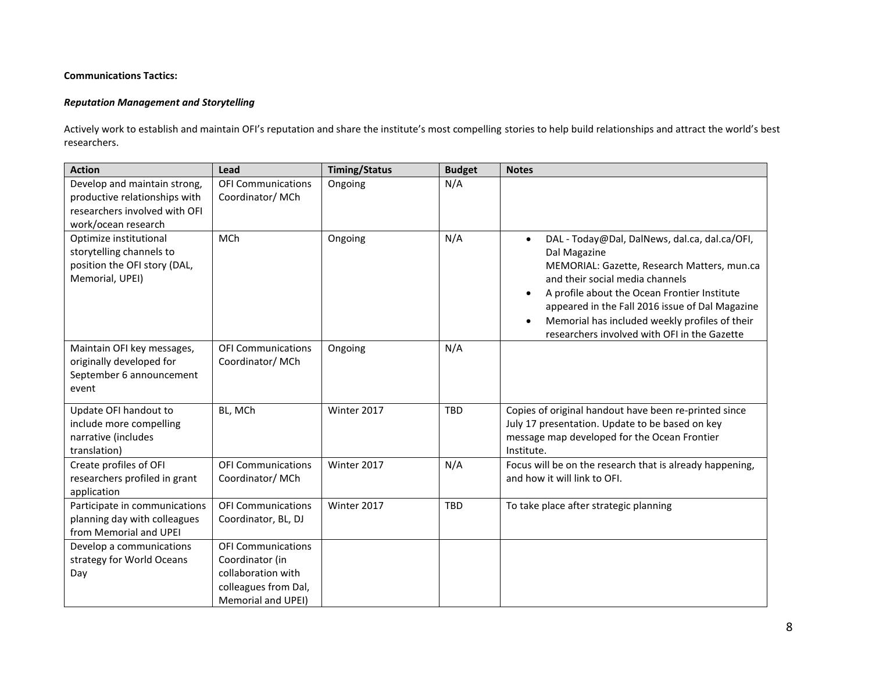## **Communications Tactics:**

## *Reputation Management and Storytelling*

Actively work to establish and maintain OFI's reputation and share the institute's most compelling stories to help build relationships and attract the world's best researchers.

| <b>Action</b>                                                                                                         | Lead                                                                                                             | <b>Timing/Status</b> | <b>Budget</b> | <b>Notes</b>                                                                                                                                                                                                                                                                                                                                                                   |
|-----------------------------------------------------------------------------------------------------------------------|------------------------------------------------------------------------------------------------------------------|----------------------|---------------|--------------------------------------------------------------------------------------------------------------------------------------------------------------------------------------------------------------------------------------------------------------------------------------------------------------------------------------------------------------------------------|
| Develop and maintain strong,<br>productive relationships with<br>researchers involved with OFI<br>work/ocean research | <b>OFI Communications</b><br>Coordinator/MCh                                                                     | Ongoing              | N/A           |                                                                                                                                                                                                                                                                                                                                                                                |
| Optimize institutional<br>storytelling channels to<br>position the OFI story (DAL,<br>Memorial, UPEI)                 | MCh                                                                                                              | Ongoing              | N/A           | DAL - Today@Dal, DalNews, dal.ca, dal.ca/OFI,<br>$\bullet$<br>Dal Magazine<br>MEMORIAL: Gazette, Research Matters, mun.ca<br>and their social media channels<br>A profile about the Ocean Frontier Institute<br>$\bullet$<br>appeared in the Fall 2016 issue of Dal Magazine<br>Memorial has included weekly profiles of their<br>researchers involved with OFI in the Gazette |
| Maintain OFI key messages,<br>originally developed for<br>September 6 announcement<br>event                           | <b>OFI Communications</b><br>Coordinator/MCh                                                                     | Ongoing              | N/A           |                                                                                                                                                                                                                                                                                                                                                                                |
| Update OFI handout to<br>include more compelling<br>narrative (includes<br>translation)                               | BL, MCh                                                                                                          | Winter 2017          | <b>TBD</b>    | Copies of original handout have been re-printed since<br>July 17 presentation. Update to be based on key<br>message map developed for the Ocean Frontier<br>Institute.                                                                                                                                                                                                         |
| Create profiles of OFI<br>researchers profiled in grant<br>application                                                | <b>OFI Communications</b><br>Coordinator/MCh                                                                     | Winter 2017          | N/A           | Focus will be on the research that is already happening,<br>and how it will link to OFI.                                                                                                                                                                                                                                                                                       |
| Participate in communications<br>planning day with colleagues<br>from Memorial and UPEI                               | <b>OFI Communications</b><br>Coordinator, BL, DJ                                                                 | Winter 2017          | <b>TBD</b>    | To take place after strategic planning                                                                                                                                                                                                                                                                                                                                         |
| Develop a communications<br>strategy for World Oceans<br>Day                                                          | <b>OFI Communications</b><br>Coordinator (in<br>collaboration with<br>colleagues from Dal,<br>Memorial and UPEI) |                      |               |                                                                                                                                                                                                                                                                                                                                                                                |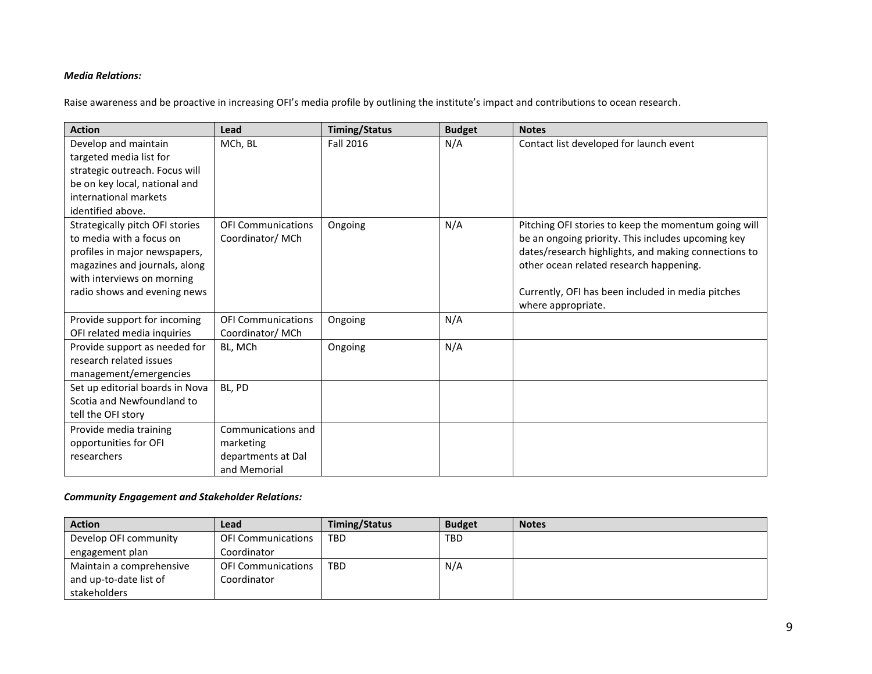## *Media Relations:*

Raise awareness and be proactive in increasing OFI's media profile by outlining the institute's impact and contributions to ocean research.

| <b>Action</b>                                   | Lead                      | <b>Timing/Status</b> | <b>Budget</b> | <b>Notes</b>                                         |
|-------------------------------------------------|---------------------------|----------------------|---------------|------------------------------------------------------|
| Develop and maintain<br>targeted media list for | MCh, BL                   | <b>Fall 2016</b>     | N/A           | Contact list developed for launch event              |
| strategic outreach. Focus will                  |                           |                      |               |                                                      |
| be on key local, national and                   |                           |                      |               |                                                      |
| international markets                           |                           |                      |               |                                                      |
| identified above.                               |                           |                      |               |                                                      |
| Strategically pitch OFI stories                 | <b>OFI Communications</b> | Ongoing              | N/A           | Pitching OFI stories to keep the momentum going will |
| to media with a focus on                        | Coordinator/MCh           |                      |               | be an ongoing priority. This includes upcoming key   |
| profiles in major newspapers,                   |                           |                      |               | dates/research highlights, and making connections to |
| magazines and journals, along                   |                           |                      |               | other ocean related research happening.              |
| with interviews on morning                      |                           |                      |               |                                                      |
| radio shows and evening news                    |                           |                      |               | Currently, OFI has been included in media pitches    |
|                                                 |                           |                      |               | where appropriate.                                   |
| Provide support for incoming                    | <b>OFI Communications</b> | Ongoing              | N/A           |                                                      |
| OFI related media inquiries                     | Coordinator/MCh           |                      |               |                                                      |
| Provide support as needed for                   | BL, MCh                   | Ongoing              | N/A           |                                                      |
| research related issues                         |                           |                      |               |                                                      |
| management/emergencies                          |                           |                      |               |                                                      |
| Set up editorial boards in Nova                 | BL, PD                    |                      |               |                                                      |
| Scotia and Newfoundland to                      |                           |                      |               |                                                      |
| tell the OFI story                              |                           |                      |               |                                                      |
| Provide media training                          | Communications and        |                      |               |                                                      |
| opportunities for OFI                           | marketing                 |                      |               |                                                      |
| researchers                                     | departments at Dal        |                      |               |                                                      |
|                                                 | and Memorial              |                      |               |                                                      |

## *Community Engagement and Stakeholder Relations:*

| <b>Action</b>            | Lead                      | Timing/Status | <b>Budget</b> | <b>Notes</b> |
|--------------------------|---------------------------|---------------|---------------|--------------|
| Develop OFI community    | <b>OFI Communications</b> | TBD           | <b>TBD</b>    |              |
| engagement plan          | Coordinator               |               |               |              |
| Maintain a comprehensive | <b>OFI Communications</b> | <b>TBD</b>    | N/A           |              |
| and up-to-date list of   | Coordinator               |               |               |              |
| stakeholders             |                           |               |               |              |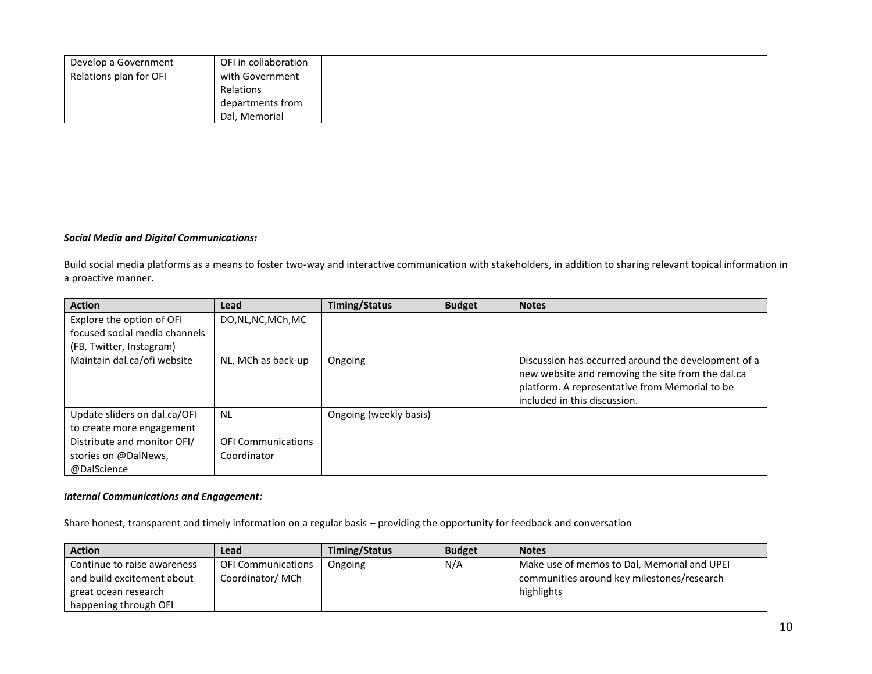| Develop a Government   | OFI in collaboration |  |  |
|------------------------|----------------------|--|--|
| Relations plan for OFI | with Government      |  |  |
|                        | Relations            |  |  |
|                        | departments from     |  |  |
|                        | Dal, Memorial        |  |  |

## *Social Media and Digital Communications:*

Build social media platforms as a means to foster two-way and interactive communication with stakeholders, in addition to sharing relevant topical information in a proactive manner.

| <b>Action</b>                 | Lead                      | Timing/Status          | <b>Budget</b> | <b>Notes</b>                                                                                                                                                                               |
|-------------------------------|---------------------------|------------------------|---------------|--------------------------------------------------------------------------------------------------------------------------------------------------------------------------------------------|
| Explore the option of OFI     | DO, NL, NC, MCh, MC       |                        |               |                                                                                                                                                                                            |
| focused social media channels |                           |                        |               |                                                                                                                                                                                            |
| (FB, Twitter, Instagram)      |                           |                        |               |                                                                                                                                                                                            |
| Maintain dal.ca/ofi website   | NL, MCh as back-up        | Ongoing                |               | Discussion has occurred around the development of a<br>new website and removing the site from the dal.ca<br>platform. A representative from Memorial to be<br>included in this discussion. |
| Update sliders on dal.ca/OFI  | <b>NL</b>                 | Ongoing (weekly basis) |               |                                                                                                                                                                                            |
| to create more engagement     |                           |                        |               |                                                                                                                                                                                            |
| Distribute and monitor OFI/   | <b>OFI Communications</b> |                        |               |                                                                                                                                                                                            |
| stories on @DalNews,          | Coordinator               |                        |               |                                                                                                                                                                                            |
| @DalScience                   |                           |                        |               |                                                                                                                                                                                            |

## *Internal Communications and Engagement:*

Share honest, transparent and timely information on a regular basis – providing the opportunity for feedback and conversation

| <b>Action</b>               | Lead                      | Timing/Status | <b>Budget</b> | <b>Notes</b>                                |
|-----------------------------|---------------------------|---------------|---------------|---------------------------------------------|
| Continue to raise awareness | <b>OFI Communications</b> | Ongoing       | N/A           | Make use of memos to Dal, Memorial and UPEI |
| and build excitement about  | Coordinator/MCh           |               |               | communities around key milestones/research  |
| i great ocean research      |                           |               |               | highlights                                  |
| happening through OFI       |                           |               |               |                                             |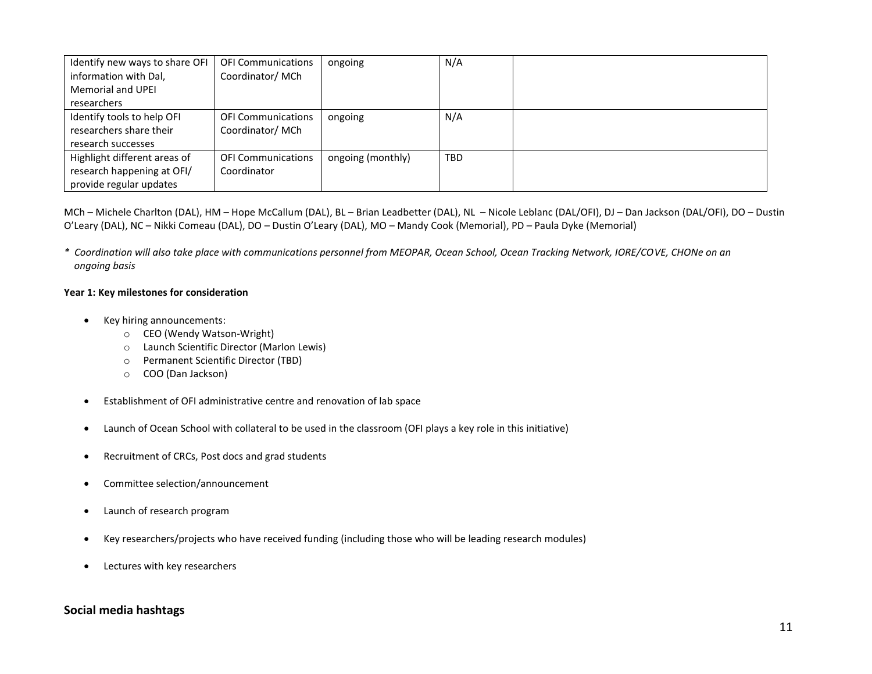| Identify new ways to share OFI | <b>OFI Communications</b> | ongoing           | N/A        |  |
|--------------------------------|---------------------------|-------------------|------------|--|
| information with Dal,          | Coordinator/MCh           |                   |            |  |
| <b>Memorial and UPEI</b>       |                           |                   |            |  |
| researchers                    |                           |                   |            |  |
| Identify tools to help OFI     | <b>OFI Communications</b> | ongoing           | N/A        |  |
| researchers share their        | Coordinator/MCh           |                   |            |  |
| research successes             |                           |                   |            |  |
| Highlight different areas of   | <b>OFI Communications</b> | ongoing (monthly) | <b>TBD</b> |  |
| research happening at OFI/     | Coordinator               |                   |            |  |
| provide regular updates        |                           |                   |            |  |

MCh – Michele Charlton (DAL), HM – Hope McCallum (DAL), BL – Brian Leadbetter (DAL), NL – Nicole Leblanc (DAL/OFI), DJ – Dan Jackson (DAL/OFI), DO – Dustin O'Leary (DAL), NC – Nikki Comeau (DAL), DO – Dustin O'Leary (DAL), MO – Mandy Cook (Memorial), PD – Paula Dyke (Memorial)

*\* Coordination will also take place with communications personnel from MEOPAR, Ocean School, Ocean Tracking Network, IORE/COVE, CHONe on an ongoing basis*

## **Year 1: Key milestones for consideration**

- Key hiring announcements:
	- o CEO (Wendy Watson-Wright)
	- o Launch Scientific Director (Marlon Lewis)
	- o Permanent Scientific Director (TBD)
	- o COO (Dan Jackson)
- Establishment of OFI administrative centre and renovation of lab space
- Launch of Ocean School with collateral to be used in the classroom (OFI plays a key role in this initiative)
- Recruitment of CRCs, Post docs and grad students
- Committee selection/announcement
- Launch of research program
- Key researchers/projects who have received funding (including those who will be leading research modules)
- Lectures with key researchers

# **Social media hashtags**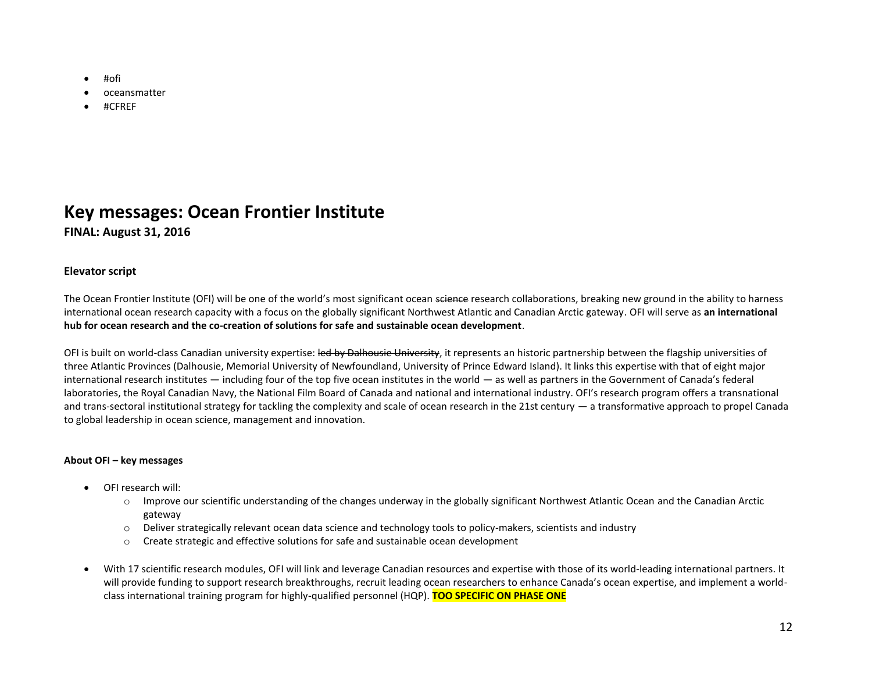- #ofi
- oceansmatter
- #CFREF

# **Key messages: Ocean Frontier Institute**

# **FINAL: August 31, 2016**

# **Elevator script**

The Ocean Frontier Institute (OFI) will be one of the world's most significant ocean science research collaborations, breaking new ground in the ability to harness international ocean research capacity with a focus on the globally significant Northwest Atlantic and Canadian Arctic gateway. OFI will serve as **an international hub for ocean research and the co-creation of solutions for safe and sustainable ocean development**.

OFI is built on world-class Canadian university expertise: led by Dalhousie University, it represents an historic partnership between the flagship universities of three Atlantic Provinces (Dalhousie, Memorial University of Newfoundland, University of Prince Edward Island). It links this expertise with that of eight major international research institutes — including four of the top five ocean institutes in the world — as well as partners in the Government of Canada's federal laboratories, the Royal Canadian Navy, the National Film Board of Canada and national and international industry. OFI's research program offers a transnational and trans-sectoral institutional strategy for tackling the complexity and scale of ocean research in the 21st century — a transformative approach to propel Canada to global leadership in ocean science, management and innovation.

## **About OFI – key messages**

- OFI research will:
	- o Improve our scientific understanding of the changes underway in the globally significant Northwest Atlantic Ocean and the Canadian Arctic gateway
	- o Deliver strategically relevant ocean data science and technology tools to policy-makers, scientists and industry
	- o Create strategic and effective solutions for safe and sustainable ocean development
- With 17 scientific research modules, OFI will link and leverage Canadian resources and expertise with those of its world-leading international partners. It will provide funding to support research breakthroughs, recruit leading ocean researchers to enhance Canada's ocean expertise, and implement a worldclass international training program for highly-qualified personnel (HQP). **TOO SPECIFIC ON PHASE ONE**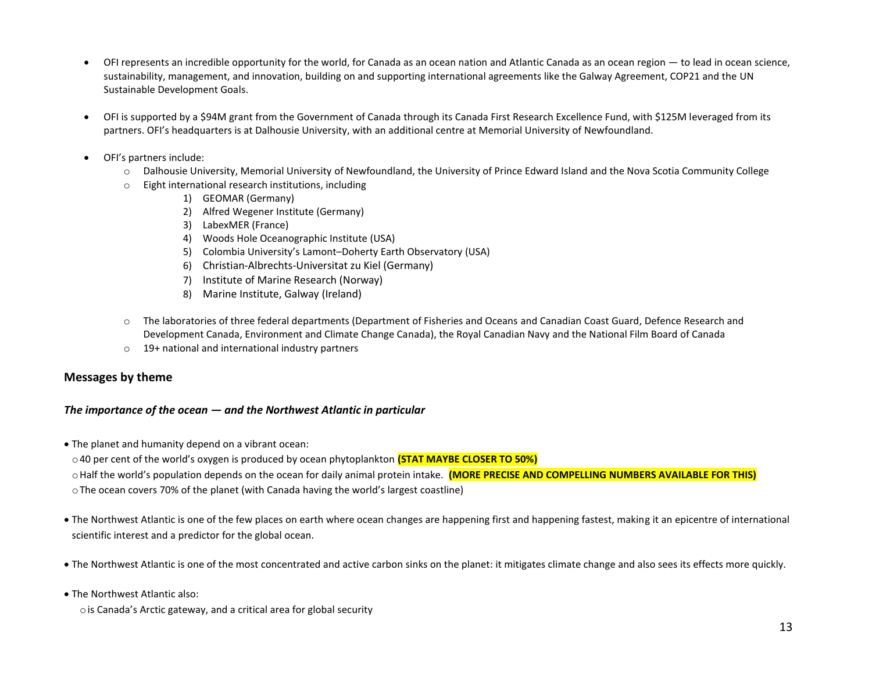- OFI represents an incredible opportunity for the world, for Canada as an ocean nation and Atlantic Canada as an ocean region to lead in ocean science, sustainability, management, and innovation, building on and supporting international agreements like the Galway Agreement, COP21 and the UN Sustainable Development Goals.
- OFI is supported by a \$94M grant from the Government of Canada through its Canada First Research Excellence Fund, with \$125M leveraged from its partners. OFI's headquarters is at Dalhousie University, with an additional centre at Memorial University of Newfoundland.
- OFI's partners include:
	- o Dalhousie University, Memorial University of Newfoundland, the University of Prince Edward Island and the Nova Scotia Community College
	- o Eight international research institutions, including
		- 1) GEOMAR (Germany)
		- 2) Alfred Wegener Institute (Germany)
		- 3) LabexMER (France)
		- 4) Woods Hole Oceanographic Institute (USA)
		- 5) Colombia University's Lamont–Doherty Earth Observatory (USA)
		- 6) [Christian-Albrechts-Universitat zu Kiel](http://www.uni-kiel.de/index-e.shtml) (Germany)
		- 7) [Institute of Marine Research](http://www.imr.no/en) (Norway)
		- 8) [Marine Institute, Galway](http://marine.ie/Home/) (Ireland)
	- o The laboratories of three federal departments (Department of Fisheries and Oceans and Canadian Coast Guard, Defence Research and Development Canada, Environment and Climate Change Canada), the Royal Canadian Navy and the National Film Board of Canada
	- o 19+ national and international industry partners

# **Messages by theme**

## *The importance of the ocean — and the Northwest Atlantic in particular*

- The planet and humanity depend on a vibrant ocean:
- o40 per cent of the world's oxygen is produced by ocean phytoplankton **(STAT MAYBE CLOSER TO 50%)**
- oHalf the world's population depends on the ocean for daily animal protein intake. **(MORE PRECISE AND COMPELLING NUMBERS AVAILABLE FOR THIS)**
- oThe ocean covers 70% of the planet (with Canada having the world's largest coastline)
- The Northwest Atlantic is one of the few places on earth where ocean changes are happening first and happening fastest, making it an epicentre of international scientific interest and a predictor for the global ocean.
- The Northwest Atlantic is one of the most concentrated and active carbon sinks on the planet: it mitigates climate change and also sees its effects more quickly.
- The Northwest Atlantic also:
	- ois Canada's Arctic gateway, and a critical area for global security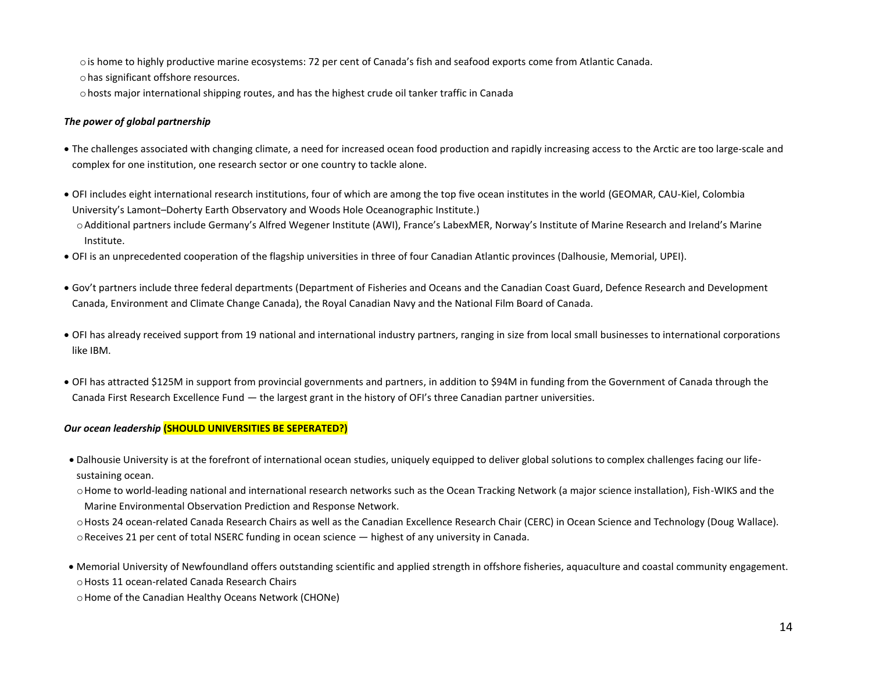ois home to highly productive marine ecosystems: 72 per cent of Canada's fish and seafood exports come from Atlantic Canada.

ohas significant offshore resources.

ohosts major international shipping routes, and has the highest crude oil tanker traffic in Canada

## *The power of global partnership*

- The challenges associated with changing climate, a need for increased ocean food production and rapidly increasing access to the Arctic are too large-scale and complex for one institution, one research sector or one country to tackle alone.
- OFI includes eight international research institutions, four of which are among the top five ocean institutes in the world (GEOMAR, CAU-Kiel, Colombia University's Lamont–Doherty Earth Observatory and Woods Hole Oceanographic Institute.) oAdditional partners include Germany's Alfred Wegener Institute (AWI), France's LabexMER, Norway's Institute of Marine Research and Ireland's Marine Institute.
- OFI is an unprecedented cooperation of the flagship universities in three of four Canadian Atlantic provinces (Dalhousie, Memorial, UPEI).
- Gov't partners include three federal departments (Department of Fisheries and Oceans and the Canadian Coast Guard, Defence Research and Development Canada, Environment and Climate Change Canada), the Royal Canadian Navy and the National Film Board of Canada.
- OFI has already received support from 19 national and international industry partners, ranging in size from local small businesses to international corporations like IBM.
- OFI has attracted \$125M in support from provincial governments and partners, in addition to \$94M in funding from the Government of Canada through the Canada First Research Excellence Fund — the largest grant in the history of OFI's three Canadian partner universities.

# *Our ocean leadership* **(SHOULD UNIVERSITIES BE SEPERATED?)**

• Dalhousie University is at the forefront of international ocean studies, uniquely equipped to deliver global solutions to complex challenges facing our lifesustaining ocean.

o Home to world-leading national and international research networks such as the Ocean Tracking Network (a major science installation), Fish-WIKS and the Marine Environmental Observation Prediction and Response Network.

oHosts 24 ocean-related Canada Research Chairs as well as the Canadian Excellence Research Chair (CERC) in Ocean Science and Technology (Doug Wallace).  $\circ$  Receives 21 per cent of total NSERC funding in ocean science  $-$  highest of any university in Canada.

• Memorial University of Newfoundland offers outstanding scientific and applied strength in offshore fisheries, aquaculture and coastal community engagement. oHosts 11 ocean-related Canada Research Chairs

oHome of the Canadian Healthy Oceans Network (CHONe)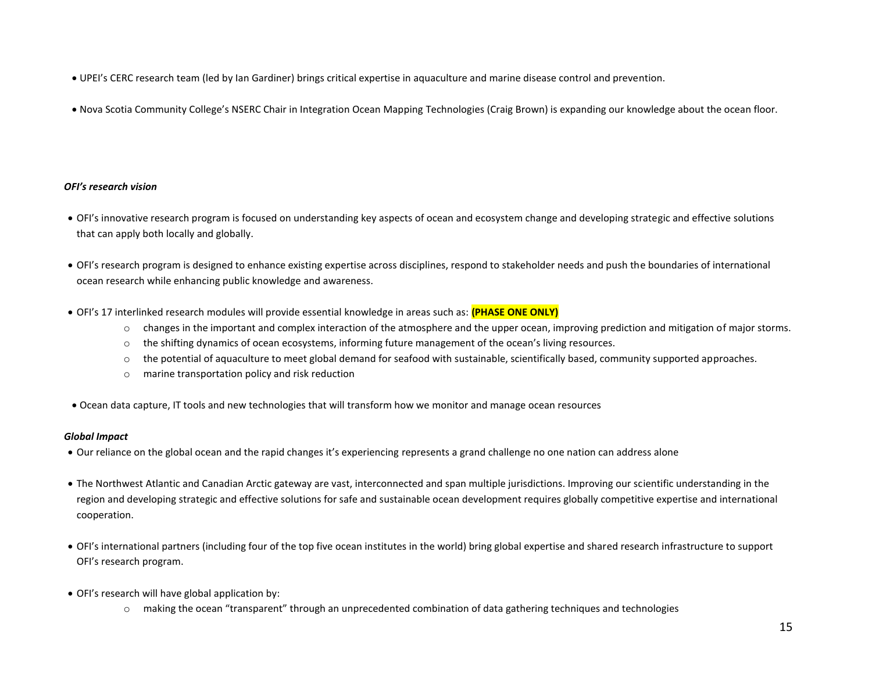- UPEI's CERC research team (led by Ian Gardiner) brings critical expertise in aquaculture and marine disease control and prevention.
- Nova Scotia Community College's NSERC Chair in Integration Ocean Mapping Technologies (Craig Brown) is expanding our knowledge about the ocean floor.

## *OFI's research vision*

- OFI's innovative research program is focused on understanding key aspects of ocean and ecosystem change and developing strategic and effective solutions that can apply both locally and globally.
- OFI's research program is designed to enhance existing expertise across disciplines, respond to stakeholder needs and push the boundaries of international ocean research while enhancing public knowledge and awareness.
- OFI's 17 interlinked research modules will provide essential knowledge in areas such as: **(PHASE ONE ONLY)**
	- o changes in the important and complex interaction of the atmosphere and the upper ocean, improving prediction and mitigation of major storms.
	- $\circ$  the shifting dynamics of ocean ecosystems, informing future management of the ocean's living resources.
	- $\circ$  the potential of aquaculture to meet global demand for seafood with sustainable, scientifically based, community supported approaches.
	- o marine transportation policy and risk reduction
- Ocean data capture, IT tools and new technologies that will transform how we monitor and manage ocean resources

## *Global Impact*

- Our reliance on the global ocean and the rapid changes it's experiencing represents a grand challenge no one nation can address alone
- The Northwest Atlantic and Canadian Arctic gateway are vast, interconnected and span multiple jurisdictions. Improving our scientific understanding in the region and developing strategic and effective solutions for safe and sustainable ocean development requires globally competitive expertise and international cooperation.
- OFI's international partners (including four of the top five ocean institutes in the world) bring global expertise and shared research infrastructure to support OFI's research program.
- OFI's research will have global application by:
	- o making the ocean "transparent" through an unprecedented combination of data gathering techniques and technologies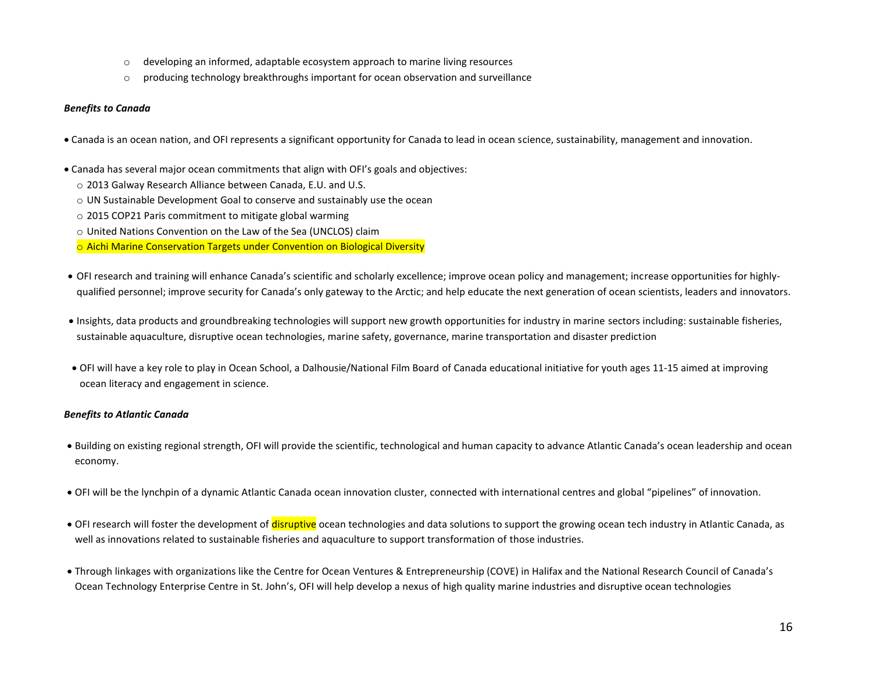- o developing an informed, adaptable ecosystem approach to marine living resources
- $\circ$  producing technology breakthroughs important for ocean observation and surveillance

#### *Benefits to Canada*

- Canada is an ocean nation, and OFI represents a significant opportunity for Canada to lead in ocean science, sustainability, management and innovation.
- Canada has several major ocean commitments that align with OFI's goals and objectives:
	- o 2013 Galway Research Alliance between Canada, E.U. and U.S.
	- o UN Sustainable Development Goal to conserve and sustainably use the ocean
	- o 2015 COP21 Paris commitment to mitigate global warming
	- o United Nations Convention on the Law of the Sea (UNCLOS) claim
	- o Aichi Marine Conservation Targets under Convention on Biological Diversity
- OFI research and training will enhance Canada's scientific and scholarly excellence; improve ocean policy and management; increase opportunities for highlyqualified personnel; improve security for Canada's only gateway to the Arctic; and help educate the next generation of ocean scientists, leaders and innovators.
- Insights, data products and groundbreaking technologies will support new growth opportunities for industry in marine sectors including: sustainable fisheries, sustainable aquaculture, disruptive ocean technologies, marine safety, governance, marine transportation and disaster prediction
- OFI will have a key role to play in Ocean School, a Dalhousie/National Film Board of Canada educational initiative for youth ages 11-15 aimed at improving ocean literacy and engagement in science.

## *Benefits to Atlantic Canada*

- Building on existing regional strength, OFI will provide the scientific, technological and human capacity to advance Atlantic Canada's ocean leadership and ocean economy.
- OFI will be the lynchpin of a dynamic Atlantic Canada ocean innovation cluster, connected with international centres and global "pipelines" of innovation.
- OFI research will foster the development of disruptive ocean technologies and data solutions to support the growing ocean tech industry in Atlantic Canada, as well as innovations related to sustainable fisheries and aquaculture to support transformation of those industries.
- Through linkages with organizations like the Centre for Ocean Ventures & Entrepreneurship (COVE) in Halifax and the National Research Council of Canada's Ocean Technology Enterprise Centre in St. John's, OFI will help develop a nexus of high quality marine industries and disruptive ocean technologies